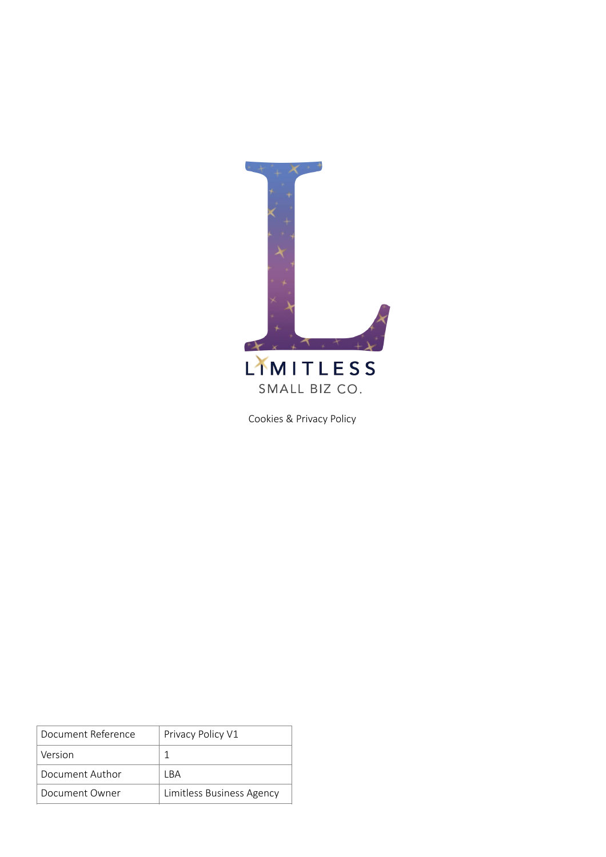

Cookies & Privacy Policy

| Document Reference | Privacy Policy V1         |
|--------------------|---------------------------|
| Version            |                           |
| Document Author    | I RA                      |
| Document Owner     | Limitless Business Agency |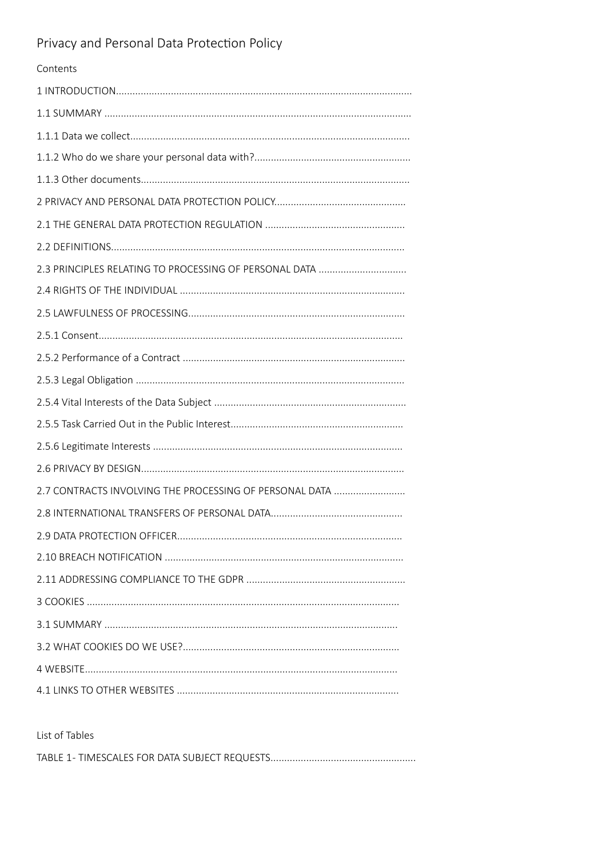# Privacy and Personal Data Protection Policy

| Contents                                                |
|---------------------------------------------------------|
|                                                         |
|                                                         |
|                                                         |
|                                                         |
|                                                         |
|                                                         |
|                                                         |
|                                                         |
|                                                         |
|                                                         |
|                                                         |
|                                                         |
|                                                         |
|                                                         |
|                                                         |
|                                                         |
|                                                         |
|                                                         |
| 2.7 CONTRACTS INVOLVING THE PROCESSING OF PERSONAL DATA |
|                                                         |
|                                                         |
|                                                         |
|                                                         |
|                                                         |
|                                                         |
|                                                         |
|                                                         |
|                                                         |
|                                                         |

List of Tables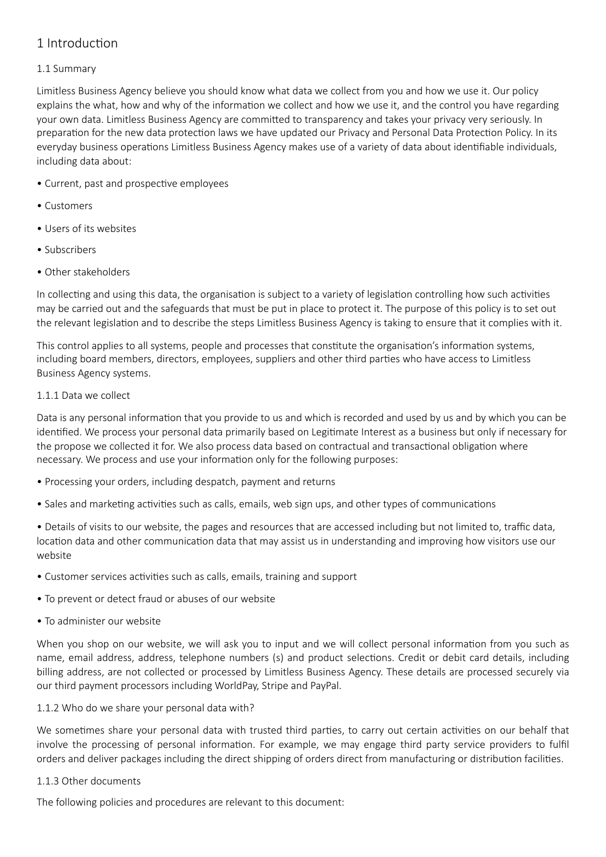# 1 Introduction

# 1.1 Summary

Limitless Business Agency believe you should know what data we collect from you and how we use it. Our policy explains the what, how and why of the information we collect and how we use it, and the control you have regarding your own data. Limitless Business Agency are committed to transparency and takes your privacy very seriously. In preparation for the new data protection laws we have updated our Privacy and Personal Data Protection Policy. In its everyday business operations Limitless Business Agency makes use of a variety of data about identifiable individuals, including data about:

- Current, past and prospective employees
- Customers
- Users of its websites
- Subscribers
- Other stakeholders

In collecting and using this data, the organisation is subject to a variety of legislation controlling how such activities may be carried out and the safeguards that must be put in place to protect it. The purpose of this policy is to set out the relevant legislation and to describe the steps Limitless Business Agency is taking to ensure that it complies with it.

This control applies to all systems, people and processes that constitute the organisation's information systems, including board members, directors, employees, suppliers and other third parties who have access to Limitless Business Agency systems.

# 1.1.1 Data we collect

Data is any personal information that you provide to us and which is recorded and used by us and by which you can be identified. We process your personal data primarily based on Legitimate Interest as a business but only if necessary for the propose we collected it for. We also process data based on contractual and transactional obligation where necessary. We process and use your information only for the following purposes:

- Processing your orders, including despatch, payment and returns
- Sales and marketing activities such as calls, emails, web sign ups, and other types of communications
- Details of visits to our website, the pages and resources that are accessed including but not limited to, traffic data, location data and other communication data that may assist us in understanding and improving how visitors use our website
- Customer services activities such as calls, emails, training and support
- To prevent or detect fraud or abuses of our website
- To administer our website

When you shop on our website, we will ask you to input and we will collect personal information from you such as name, email address, address, telephone numbers (s) and product selections. Credit or debit card details, including billing address, are not collected or processed by Limitless Business Agency. These details are processed securely via our third payment processors including WorldPay, Stripe and PayPal.

# 1.1.2 Who do we share your personal data with?

We sometimes share your personal data with trusted third parties, to carry out certain activities on our behalf that involve the processing of personal information. For example, we may engage third party service providers to fulfil orders and deliver packages including the direct shipping of orders direct from manufacturing or distribution facilities.

# 1.1.3 Other documents

The following policies and procedures are relevant to this document: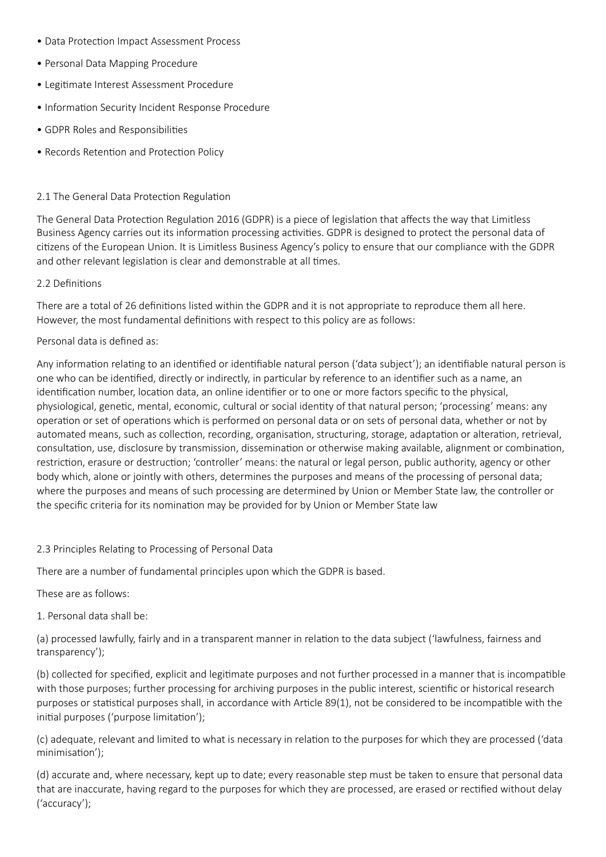- Data Protection Impact Assessment Process
- Personal Data Mapping Procedure
- Legitimate Interest Assessment Procedure
- Information Security Incident Response Procedure
- GDPR Roles and Responsibilities
- Records Retention and Protection Policy

#### 2.1 The General Data Protection Regulation

The General Data Protection Regulation 2016 (GDPR) is a piece of legislation that affects the way that Limitless Business Agency carries out its information processing activities. GDPR is designed to protect the personal data of citizens of the European Union. It is Limitless Business Agency's policy to ensure that our compliance with the GDPR and other relevant legislation is clear and demonstrable at all times.

#### 2.2 Definitions

There are a total of 26 definitions listed within the GDPR and it is not appropriate to reproduce them all here. However, the most fundamental definitions with respect to this policy are as follows:

#### Personal data is defined as:

Any information relating to an identified or identifiable natural person ('data subject'); an identifiable natural person is one who can be identified, directly or indirectly, in particular by reference to an identifier such as a name, an identification number, location data, an online identifier or to one or more factors specific to the physical, physiological, genetic, mental, economic, cultural or social identity of that natural person; 'processing' means: any operation or set of operations which is performed on personal data or on sets of personal data, whether or not by automated means, such as collection, recording, organisation, structuring, storage, adaptation or alteration, retrieval, consultation, use, disclosure by transmission, dissemination or otherwise making available, alignment or combination, restriction, erasure or destruction; 'controller' means: the natural or legal person, public authority, agency or other body which, alone or jointly with others, determines the purposes and means of the processing of personal data; where the purposes and means of such processing are determined by Union or Member State law, the controller or the specific criteria for its nomination may be provided for by Union or Member State law

# 2.3 Principles Relating to Processing of Personal Data

There are a number of fundamental principles upon which the GDPR is based.

These are as follows:

1. Personal data shall be:

(a) processed lawfully, fairly and in a transparent manner in relation to the data subject ('lawfulness, fairness and transparency');

(b) collected for specified, explicit and legitimate purposes and not further processed in a manner that is incompatible with those purposes; further processing for archiving purposes in the public interest, scientific or historical research purposes or statistical purposes shall, in accordance with Article 89(1), not be considered to be incompatible with the initial purposes ('purpose limitation');

(c) adequate, relevant and limited to what is necessary in relation to the purposes for which they are processed ('data minimisation');

(d) accurate and, where necessary, kept up to date; every reasonable step must be taken to ensure that personal data that are inaccurate, having regard to the purposes for which they are processed, are erased or rectified without delay ('accuracy');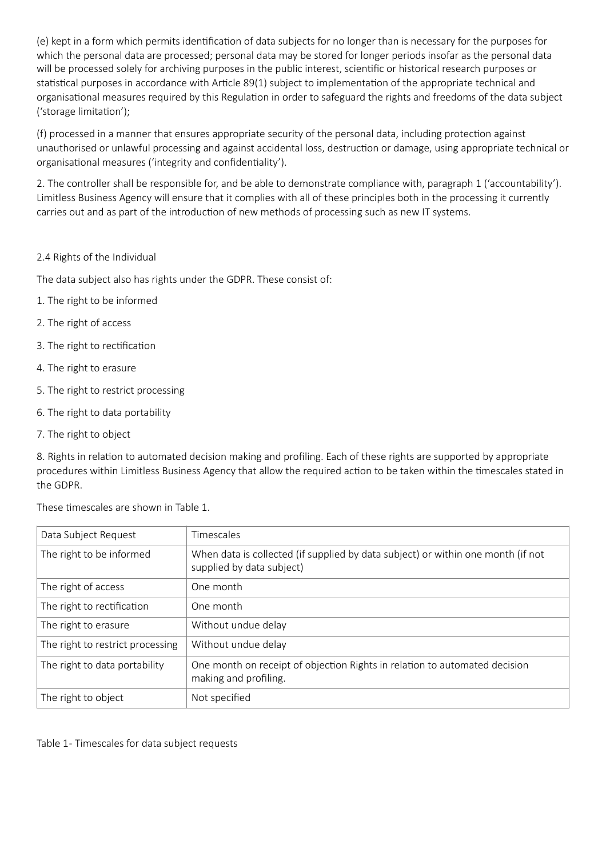(e) kept in a form which permits identification of data subjects for no longer than is necessary for the purposes for which the personal data are processed; personal data may be stored for longer periods insofar as the personal data will be processed solely for archiving purposes in the public interest, scientific or historical research purposes or statistical purposes in accordance with Article 89(1) subject to implementation of the appropriate technical and organisational measures required by this Regulation in order to safeguard the rights and freedoms of the data subject ('storage limitation');

(f) processed in a manner that ensures appropriate security of the personal data, including protection against unauthorised or unlawful processing and against accidental loss, destruction or damage, using appropriate technical or organisational measures ('integrity and confidentiality').

2. The controller shall be responsible for, and be able to demonstrate compliance with, paragraph 1 ('accountability'). Limitless Business Agency will ensure that it complies with all of these principles both in the processing it currently carries out and as part of the introduction of new methods of processing such as new IT systems.

# 2.4 Rights of the Individual

The data subject also has rights under the GDPR. These consist of:

- 1. The right to be informed
- 2. The right of access
- 3. The right to rectification
- 4. The right to erasure
- 5. The right to restrict processing
- 6. The right to data portability
- 7. The right to object

8. Rights in relation to automated decision making and profiling. Each of these rights are supported by appropriate procedures within Limitless Business Agency that allow the required action to be taken within the timescales stated in the GDPR.

These timescales are shown in Table 1.

| Data Subject Request             | <b>Timescales</b>                                                                                             |
|----------------------------------|---------------------------------------------------------------------------------------------------------------|
| The right to be informed         | When data is collected (if supplied by data subject) or within one month (if not<br>supplied by data subject) |
| The right of access              | One month                                                                                                     |
| The right to rectification       | One month                                                                                                     |
| The right to erasure             | Without undue delay                                                                                           |
| The right to restrict processing | Without undue delay                                                                                           |
| The right to data portability    | One month on receipt of objection Rights in relation to automated decision<br>making and profiling.           |
| The right to object              | Not specified                                                                                                 |

Table 1- Timescales for data subject requests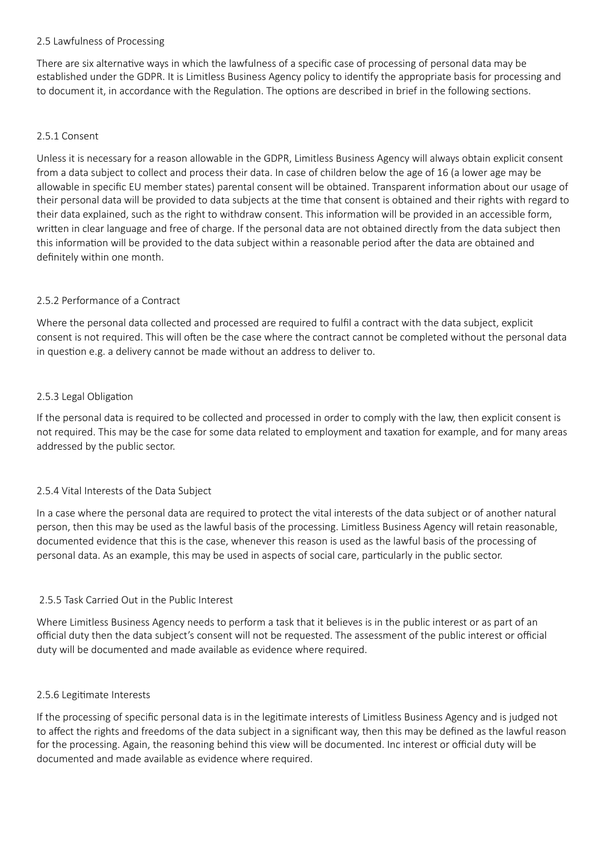#### 2.5 Lawfulness of Processing

There are six alternative ways in which the lawfulness of a specific case of processing of personal data may be established under the GDPR. It is Limitless Business Agency policy to identify the appropriate basis for processing and to document it, in accordance with the Regulation. The options are described in brief in the following sections.

#### 2.5.1 Consent

Unless it is necessary for a reason allowable in the GDPR, Limitless Business Agency will always obtain explicit consent from a data subject to collect and process their data. In case of children below the age of 16 (a lower age may be allowable in specific EU member states) parental consent will be obtained. Transparent information about our usage of their personal data will be provided to data subjects at the time that consent is obtained and their rights with regard to their data explained, such as the right to withdraw consent. This information will be provided in an accessible form, written in clear language and free of charge. If the personal data are not obtained directly from the data subject then this information will be provided to the data subject within a reasonable period after the data are obtained and definitely within one month.

# 2.5.2 Performance of a Contract

Where the personal data collected and processed are required to fulfil a contract with the data subject, explicit consent is not required. This will often be the case where the contract cannot be completed without the personal data in question e.g. a delivery cannot be made without an address to deliver to.

#### 2.5.3 Legal Obligation

If the personal data is required to be collected and processed in order to comply with the law, then explicit consent is not required. This may be the case for some data related to employment and taxation for example, and for many areas addressed by the public sector.

# 2.5.4 Vital Interests of the Data Subject

In a case where the personal data are required to protect the vital interests of the data subject or of another natural person, then this may be used as the lawful basis of the processing. Limitless Business Agency will retain reasonable, documented evidence that this is the case, whenever this reason is used as the lawful basis of the processing of personal data. As an example, this may be used in aspects of social care, particularly in the public sector.

#### 2.5.5 Task Carried Out in the Public Interest

Where Limitless Business Agency needs to perform a task that it believes is in the public interest or as part of an official duty then the data subject's consent will not be requested. The assessment of the public interest or official duty will be documented and made available as evidence where required.

#### 2.5.6 Legitimate Interests

If the processing of specific personal data is in the legitimate interests of Limitless Business Agency and is judged not to affect the rights and freedoms of the data subject in a significant way, then this may be defined as the lawful reason for the processing. Again, the reasoning behind this view will be documented. Inc interest or official duty will be documented and made available as evidence where required.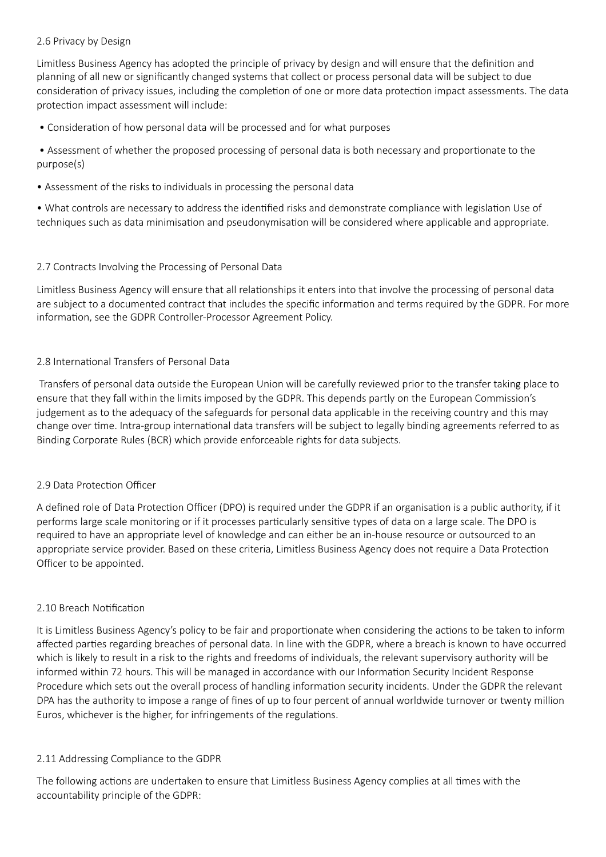#### 2.6 Privacy by Design

Limitless Business Agency has adopted the principle of privacy by design and will ensure that the definition and planning of all new or significantly changed systems that collect or process personal data will be subject to due consideration of privacy issues, including the completion of one or more data protection impact assessments. The data protection impact assessment will include:

• Consideration of how personal data will be processed and for what purposes

• Assessment of whether the proposed processing of personal data is both necessary and proportionate to the purpose(s)

• Assessment of the risks to individuals in processing the personal data

• What controls are necessary to address the identified risks and demonstrate compliance with legislation Use of techniques such as data minimisation and pseudonymisation will be considered where applicable and appropriate.

# 2.7 Contracts Involving the Processing of Personal Data

Limitless Business Agency will ensure that all relationships it enters into that involve the processing of personal data are subject to a documented contract that includes the specific information and terms required by the GDPR. For more information, see the GDPR Controller-Processor Agreement Policy.

#### 2.8 International Transfers of Personal Data

 Transfers of personal data outside the European Union will be carefully reviewed prior to the transfer taking place to ensure that they fall within the limits imposed by the GDPR. This depends partly on the European Commission's judgement as to the adequacy of the safeguards for personal data applicable in the receiving country and this may change over time. Intra-group international data transfers will be subject to legally binding agreements referred to as Binding Corporate Rules (BCR) which provide enforceable rights for data subjects.

# 2.9 Data Protection Officer

A defined role of Data Protection Officer (DPO) is required under the GDPR if an organisation is a public authority, if it performs large scale monitoring or if it processes particularly sensitive types of data on a large scale. The DPO is required to have an appropriate level of knowledge and can either be an in-house resource or outsourced to an appropriate service provider. Based on these criteria, Limitless Business Agency does not require a Data Protection Officer to be appointed.

# 2.10 Breach Notification

It is Limitless Business Agency's policy to be fair and proportionate when considering the actions to be taken to inform affected parties regarding breaches of personal data. In line with the GDPR, where a breach is known to have occurred which is likely to result in a risk to the rights and freedoms of individuals, the relevant supervisory authority will be informed within 72 hours. This will be managed in accordance with our Information Security Incident Response Procedure which sets out the overall process of handling information security incidents. Under the GDPR the relevant DPA has the authority to impose a range of fines of up to four percent of annual worldwide turnover or twenty million Euros, whichever is the higher, for infringements of the regulations.

# 2.11 Addressing Compliance to the GDPR

The following actions are undertaken to ensure that Limitless Business Agency complies at all times with the accountability principle of the GDPR: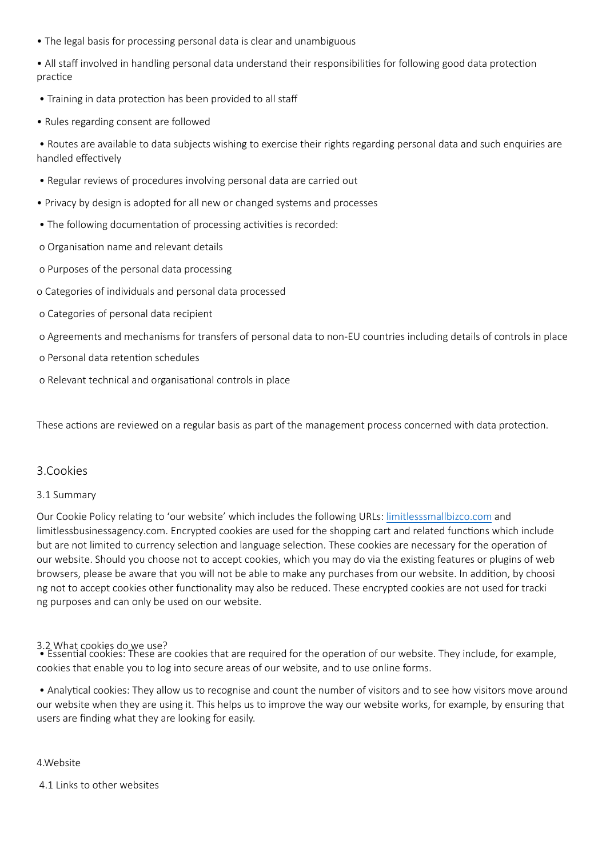- The legal basis for processing personal data is clear and unambiguous
- All staff involved in handling personal data understand their responsibilities for following good data protection practice
- Training in data protection has been provided to all staff
- Rules regarding consent are followed

• Routes are available to data subjects wishing to exercise their rights regarding personal data and such enquiries are handled effectively

- Regular reviews of procedures involving personal data are carried out
- Privacy by design is adopted for all new or changed systems and processes
- The following documentation of processing activities is recorded:
- o Organisation name and relevant details
- o Purposes of the personal data processing
- o Categories of individuals and personal data processed
- o Categories of personal data recipient
- o Agreements and mechanisms for transfers of personal data to non-EU countries including details of controls in place
- o Personal data retention schedules
- o Relevant technical and organisational controls in place

These actions are reviewed on a regular basis as part of the management process concerned with data protection.

# 3.Cookies

#### 3.1 Summary

Our Cookie Policy relating to 'our website' which includes the following URLs: limitlesssmallbizco.com and limitlessbusinessagency.com. Encrypted cookies are used for the shopping cart and related functions which include but are not limited to currency selection and language selection. These cookies are necessary for the operation of our website. Should you choose not to accept cookies, which you may do via the existing features or plugins of web browsers, please be aware that you will not be able to make any purchases from our website. In addition, by choosi ng not to accept cookies other functionality may also be reduced. These encrypted cookies are not used for tracki ng purposes and can only be used on our website.

3.2 What cookies do we use?

• Essential cookies: These are cookies that are required for the operation of our website. They include, for example, cookies that enable you to log into secure areas of our website, and to use online forms.

• Analytical cookies: They allow us to recognise and count the number of visitors and to see how visitors move around our website when they are using it. This helps us to improve the way our website works, for example, by ensuring that users are finding what they are looking for easily.

#### 4.Website

4.1 Links to other websites